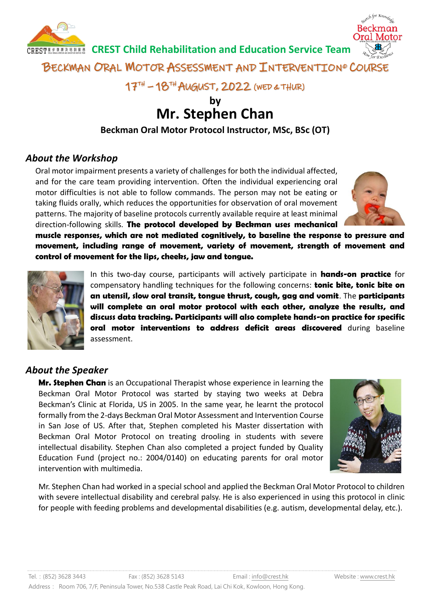

BECKMAN ORAL MOTOR ASSESSMENT AND INTERVENTION® COURSE

17TH – 18TH AUGUST, 2022 (WED & THUR)

# **by Mr. Stephen Chan**

**Beckman Oral Motor Protocol Instructor, MSc, BSc (OT)**

## *About the Workshop*

Oral motor impairment presents a variety of challenges for both the individual affected, and for the care team providing intervention. Often the individual experiencing oral motor difficulties is not able to follow commands. The person may not be eating or taking fluids orally, which reduces the opportunities for observation of oral movement patterns. The majority of baseline protocols currently available require at least minimal direction-following skills. **The protocol developed by Beckman uses mechanical** 



**muscle responses, which are not mediated cognitively, to baseline the response to pressure and movement, including range of movement, variety of movement, strength of movement and control of movement for the lips, cheeks, jaw and tongue.**



In this two-day course, participants will actively participate in **hands-on practice** for compensatory handling techniques for the following concerns: **tonic bite, tonic bite on an utensil, slow oral transit, tongue thrust, cough, gag and vomit**. The **participants will complete an oral motor protocol with each other, analyze the results, and discuss data tracking. Participants will also complete hands-on practice for specific oral motor interventions to address deficit areas discovered** during baseline assessment.

## *About the Speaker*

**Mr. Stephen Chan** is an Occupational Therapist whose experience in learning the Beckman Oral Motor Protocol was started by staying two weeks at Debra Beckman's Clinic at Florida, US in 2005. In the same year, he learnt the protocol formally from the 2-days Beckman Oral Motor Assessment and Intervention Course in San Jose of US. After that, Stephen completed his Master dissertation with Beckman Oral Motor Protocol on treating drooling in students with severe intellectual disability. Stephen Chan also completed a project funded by Quality Education Fund (project no.: 2004/0140) on educating parents for oral motor intervention with multimedia.



Mr. Stephen Chan had worked in a special school and applied the Beckman Oral Motor Protocol to children with severe intellectual disability and cerebral palsy. He is also experienced in using this protocol in clinic for people with feeding problems and developmental disabilities (e.g. autism, developmental delay, etc.).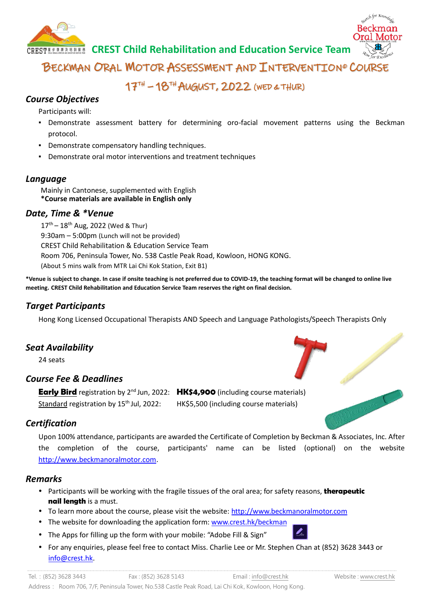

BECKMAN ORAL MOTOR ASSESSMENT AND INTERVENTION® COURSE

17TH – 18TH AUGUST, 2022 (WED & THUR)

### *Course Objectives*

Participants will:

- Demonstrate assessment battery for determining oro-facial movement patterns using the Beckman protocol.
- Demonstrate compensatory handling techniques.
- Demonstrate oral motor interventions and treatment techniques

#### *Language*

Mainly in Cantonese, supplemented with English **\*Course materials are available in English only**

#### *Date, Time & \*Venue*

 $17^{th} - 18^{th}$  Aug, 2022 (Wed & Thur) 9:30am – 5:00pm (Lunch will not be provided) CREST Child Rehabilitation & Education Service Team Room 706, Peninsula Tower, No. 538 Castle Peak Road, Kowloon, HONG KONG. (About 5 mins walk from MTR Lai Chi Kok Station, Exit B1)

**\*Venue is subject to change. In case if onsite teaching is not preferred due to COVID-19, the teaching format will be changed to online live meeting. CREST Child Rehabilitation and Education Service Team reserves the right on final decision.**

### *Target Participants*

Hong Kong Licensed Occupational Therapists AND Speech and Language Pathologists/Speech Therapists Only

### *Seat Availability*

24 seats

### *Course Fee & Deadlines*

**Early Bird** registration by 2<sup>nd</sup> Jun, 2022: HK\$4,900 (including course materials) Standard registration by 15<sup>th</sup> Jul. 2022: HK\$5,500 (including course materials)

### *Certification*

Upon 100% attendance, participants are awarded the Certificate of Completion by Beckman & Associates, Inc. After the completion of the course, participants' name can be listed (optional) on the website [http://www.beckmanoralmotor.com.](http://www.beckmanoralmotor.com/)

### *Remarks*

- Participants will be working with the fragile tissues of the oral area; for safety reasons, **therapeutic nail length** is a must.
- To learn more about the course, please visit the website: [http://www.beckmanoralmotor.com](http://www.beckmanoralmotor.com/)
- The website for downloading the application form: [www.crest.hk/beckman](http://www.crest.hk/beckman)
- The Apps for filling up the form with your mobile: "Adobe Fill & Sign"
- For any enquiries, please feel free to contact Miss. Charlie Lee or Mr. Stephen Chan at (852) 3628 3443 or [info@crest.hk.](mailto:info@crest.hk)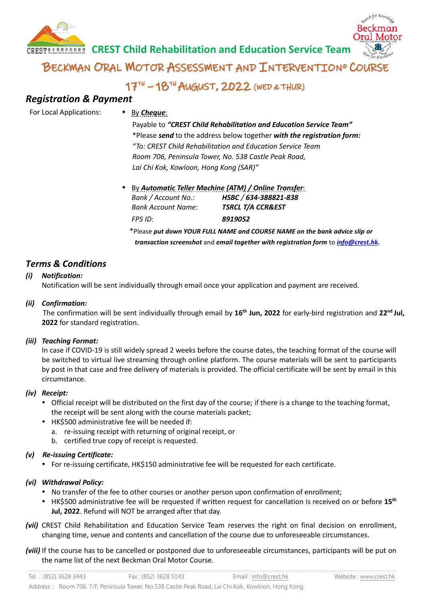

BECKMAN ORAL MOTOR ASSESSMENT AND INTERVENTION® COURSE

# 17TH – 18TH AUGUST, 2022 (WED & THUR)

### *Registration & Payment*

For Local Applications: • By *Cheque*:

Payable to *"CREST Child Rehabilitation and Education Service Team"* \*Please *send* to the address below together *with the registration form: "To: CREST Child Rehabilitation and Education Service Team Room 706, Peninsula Tower, No. 538 Castle Peak Road, Lai Chi Kok, Kowloon, Hong Kong (SAR)"*

 By *Automatic Teller Machine (ATM) / Online Transfer*: *Bank / Account No.: HSBC / 634-388821-838 Bank Account Name: TSRCL T/A CCR&EST FPS ID: 8919052*

\*Please *put down YOUR FULL NAME and COURSE NAME on the bank advice slip or transaction screenshot* and *email together with registration form* to *[info@crest.hk.](mailto:act@crest.hk)*

### *Terms & Conditions*

#### *(i) Notification:*

Notification will be sent individually through email once your application and payment are received.

#### *(ii) Confirmation:*

The confirmation will be sent individually through email by 16<sup>th</sup> Jun, 2022 for early-bird registration and 22<sup>nd</sup> Jul, **2022** for standard registration.

#### *(iii) Teaching Format:*

In case if COVID-19 is still widely spread 2 weeks before the course dates, the teaching format of the course will be switched to virtual live streaming through online platform. The course materials will be sent to participants by post in that case and free delivery of materials is provided. The official certificate will be sent by email in this circumstance.

#### *(iv) Receipt:*

- Official receipt will be distributed on the first day of the course; if there is a change to the teaching format, the receipt will be sent along with the course materials packet;
- HK\$500 administrative fee will be needed if:
	- a. re-issuing receipt with returning of original receipt, or
	- b. certified true copy of receipt is requested.

#### *(v) Re-issuing Certificate:*

For re-issuing certificate, HK\$150 administrative fee will be requested for each certificate.

#### *(vi) Withdrawal Policy:*

- No transfer of the fee to other courses or another person upon confirmation of enrollment;
- HK\$500 administrative fee will be requested if written request for cancellation is received on or before **15th Jul, 2022**. Refund will NOT be arranged after that day.
- *(vii)* CREST Child Rehabilitation and Education Service Team reserves the right on final decision on enrollment, changing time, venue and contents and cancellation of the course due to unforeseeable circumstances.
- *(viii)* If the course has to be cancelled or postponed due to unforeseeable circumstances, participants will be put on the name list of the next Beckman Oral Motor Course.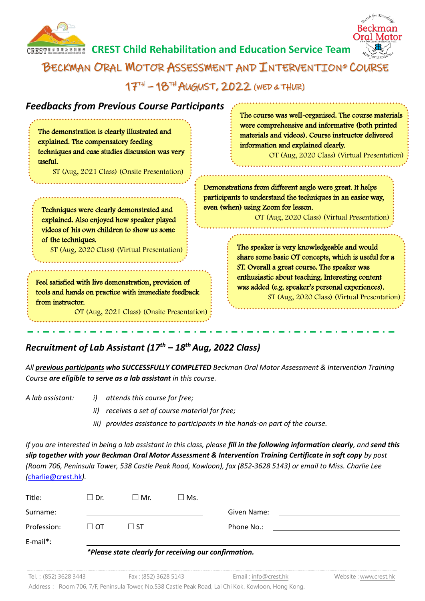



17TH – 18TH AUGUST, 2022 (WED & THUR)

| <b>Feedbacks from Previous Course Participants</b><br>The demonstration is clearly illustrated and<br>explained. The compensatory feeding<br>techniques and case studies discussion was very<br>useful.<br>ST (Aug, 2021 Class) (Onsite Presentation)                                                                                                                                      | The course was well-organised. The course materials<br>were comprehensive and informative (both printed<br>materials and videos). Course instructor delivered<br>information and explained clearly.<br>OT (Aug, 2020 Class) (Virtual Presentation)                                                       |  |  |
|--------------------------------------------------------------------------------------------------------------------------------------------------------------------------------------------------------------------------------------------------------------------------------------------------------------------------------------------------------------------------------------------|----------------------------------------------------------------------------------------------------------------------------------------------------------------------------------------------------------------------------------------------------------------------------------------------------------|--|--|
| Techniques were clearly demonstrated and<br>explained. Also enjoyed how speaker played<br>videos of his own children to show us some<br>of the techniques.<br>ST (Aug, 2020 Class) (Virtual Presentation)<br>Feel satisfied with live demonstration, provision of<br>tools and hands on practice with immediate feedback<br>from instructor.<br>OT (Aug, 2021 Class) (Onsite Presentation) | Demonstrations from different angle were great. It helps<br>participants to understand the techniques in an easier way,<br>even (when) using Zoom for lesson.<br>OT (Aug, 2020 Class) (Virtual Presentation)                                                                                             |  |  |
|                                                                                                                                                                                                                                                                                                                                                                                            | The speaker is very knowledgeable and would<br>share some basic OT concepts, which is useful for a<br>ST. Overall a great course. The speaker was<br>enthusiastic about teaching. Interesting content<br>was added (e.g. speaker's personal experiences).<br>ST (Aug, 2020 Class) (Virtual Presentation) |  |  |

# *Recruitment of Lab Assistant (17th – 18 thAug, 2022 Class)*

*All previous participants who SUCCESSFULLY COMPLETED Beckman Oral Motor Assessment & Intervention Training Course are eligible to serve as a lab assistant in this course.*

- *A lab assistant: i) attends this course for free;*
	- *ii) receives a set of course material for free;*
	- *iii) provides assistance to participants in the hands-on part of the course.*

*If you are interested in being a lab assistant in this class, please fill in the following information clearly, and send this slip together with your Beckman Oral Motor Assessment & Intervention Training Certificate in soft copy by post (Room 706, Peninsula Tower, 538 Castle Peak Road, Kowloon), fax (852-3628 5143) or email to Miss. Charlie Lee (*[charlie@crest.hk](mailto:charlie@crest.hk)*).*

| Title:      | $\square$ Dr. | ∃ Mr.        | $\square$ Ms. |             |
|-------------|---------------|--------------|---------------|-------------|
| Surname:    |               |              |               | Given Name: |
| Profession: | $\Box$ OT     | $\square$ ST |               | Phone No.:  |
| E-mail*:    |               |              |               |             |

#### *\*Please state clearly for receiving our confirmation.*